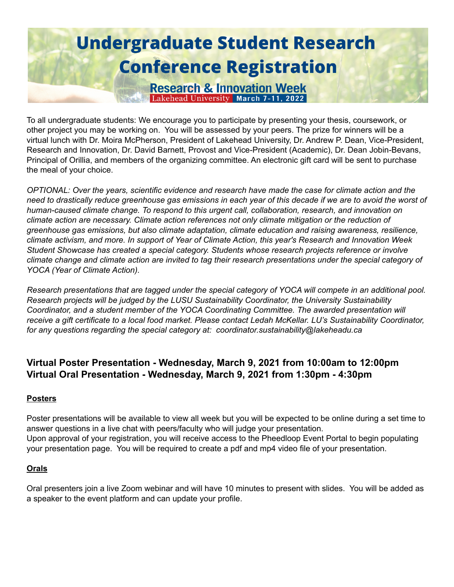# **Undergraduate Student Research Conference Registration**

**Research & Innovation Week** Lakehead University March 7-11, 2022

To all undergraduate students: We encourage you to participate by presenting your thesis, coursework, or other project you may be working on. You will be assessed by your peers. The prize for winners will be a virtual lunch with Dr. Moira McPherson, President of Lakehead University, Dr. Andrew P. Dean, Vice-President, Research and Innovation, Dr. David Barnett, Provost and Vice-President (Academic), Dr. Dean Jobin-Bevans, Principal of Orillia, and members of the organizing committee. An electronic gift card will be sent to purchase the meal of your choice.

*OPTIONAL: Over the years, scientific evidence and research have made the case for climate action and the* need to drastically reduce greenhouse gas emissions in each year of this decade if we are to avoid the worst of *human-caused climate change. To respond to this urgent call, collaboration, research, and innovation on climate action are necessary. Climate action references not only climate mitigation or the reduction of greenhouse gas emissions, but also climate adaptation, climate education and raising awareness, resilience,* climate activism, and more. In support of Year of Climate Action, this year's Research and Innovation Week *Student Showcase has created a special category. Students whose research projects reference or involve* climate change and climate action are invited to tag their research presentations under the special category of *YOCA (Year of Climate Action).*

Research presentations that are tagged under the special category of YOCA will compete in an additional pool. *Research projects will be judged by the LUSU Sustainability Coordinator, the University Sustainability Coordinator, and a student member of the YOCA Coordinating Committee. The awarded presentation will* receive a gift certificate to a local food market. Please contact Ledah McKellar. LU's Sustainability Coordinator, *for any questions regarding the special category at: coordinator.sustainability@lakeheadu.ca*

### **Virtual Poster Presentation - Wednesday, March 9, 2021 from 10:00am to 12:00pm Virtual Oral Presentation - Wednesday, March 9, 2021 from 1:30pm - 4:30pm**

#### **Posters**

Poster presentations will be available to view all week but you will be expected to be online during a set time to answer questions in a live chat with peers/faculty who will judge your presentation. Upon approval of your registration, you will receive access to the Pheedloop Event Portal to begin populating your presentation page. You will be required to create a pdf and mp4 video file of your presentation.

#### **Orals**

Oral presenters join a live Zoom webinar and will have 10 minutes to present with slides. You will be added as a speaker to the event platform and can update your profile.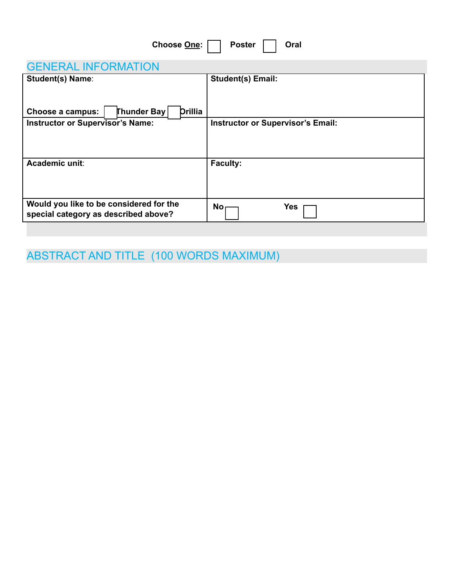| Choose One:<br><b>Poster</b><br>Oral                                            |                                          |
|---------------------------------------------------------------------------------|------------------------------------------|
| <b>GENERAL INFORMATION</b>                                                      |                                          |
| <b>Student(s) Name:</b>                                                         | <b>Student(s) Email:</b>                 |
| <b>Thunder Bay</b><br><b>Drillia</b><br>Choose a campus:                        |                                          |
| <b>Instructor or Supervisor's Name:</b>                                         | <b>Instructor or Supervisor's Email:</b> |
| Academic unit:                                                                  | <b>Faculty:</b>                          |
| Would you like to be considered for the<br>special category as described above? | <b>Yes</b><br><b>No</b>                  |

ABSTRACT AND TITLE (100 WORDS MAXIMUM)